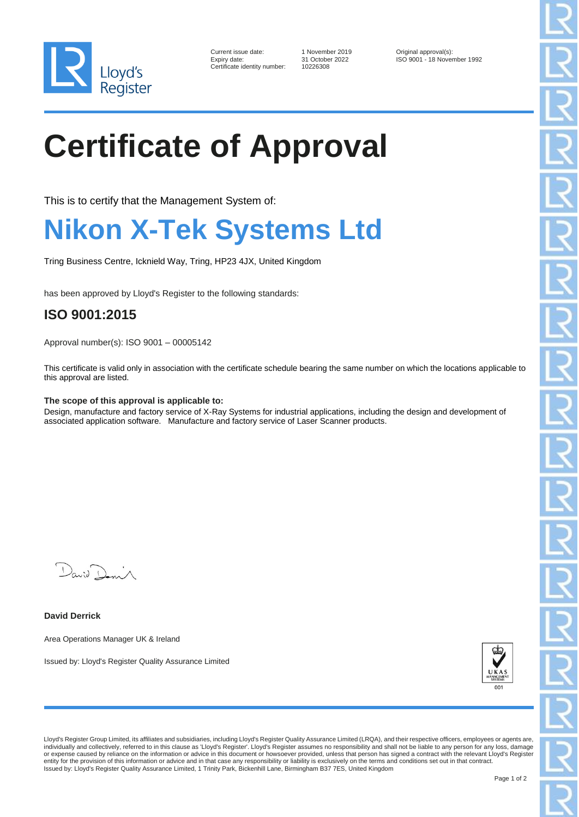

| Current issue date:        |
|----------------------------|
| Expiry date:               |
| Certificate identity numbe |

er: 10226308

1 November 2019 **Current Current Contact Current Current Current Current Current Current Current Current Current Current Current Current Current Current Current Current Current Current Current Current Current Current Curre** ISO 9001 - 18 November 1992

# **Certificate of Approval**

This is to certify that the Management System of:

### **Nikon X-Tek Systems Ltd**

Tring Business Centre, Icknield Way, Tring, HP23 4JX, United Kingdom

has been approved by Lloyd's Register to the following standards:

### **ISO 9001:2015**

Approval number(s): ISO 9001 – 00005142

This certificate is valid only in association with the certificate schedule bearing the same number on which the locations applicable to this approval are listed.

#### **The scope of this approval is applicable to:**

Design, manufacture and factory service of X-Ray Systems for industrial applications, including the design and development of associated application software. Manufacture and factory service of Laser Scanner products.

 $D_{\alpha\alpha;\beta}$ 

**David Derrick**

Area Operations Manager UK & Ireland

Issued by: Lloyd's Register Quality Assurance Limited



Lloyd's Register Group Limited, its affiliates and subsidiaries, including Lloyd's Register Quality Assurance Limited (LRQA), and their respective officers, employees or agents are, individually and collectively, referred to in this clause as 'Lloyd's Register'. Lloyd's Register assumes no responsibility and shall not be liable to any person for any loss, damage or expense caused by relievant to in th